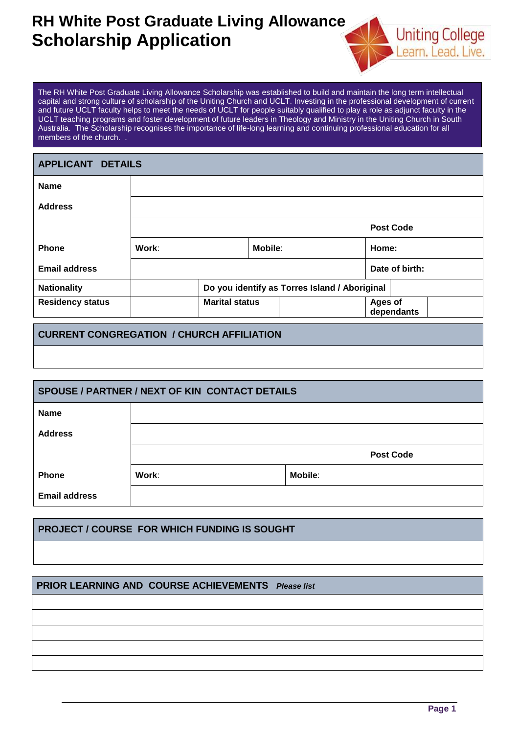## **RH White Post Graduate Living Allowance Scholarship Application**



The RH White Post Graduate Living Allowance Scholarship was established to build and maintain the long term intellectual capital and strong culture of scholarship of the Uniting Church and UCLT. Investing in the professional development of current and future UCLT faculty helps to meet the needs of UCLT for people suitably qualified to play a role as adjunct faculty in the UCLT teaching programs and foster development of future leaders in Theology and Ministry in the Uniting Church in South Australia. The Scholarship recognises the importance of life-long learning and continuing professional education for all members of the church. .

| <b>APPLICANT DETAILS</b> |                                               |  |         |                |                  |  |
|--------------------------|-----------------------------------------------|--|---------|----------------|------------------|--|
| <b>Name</b>              |                                               |  |         |                |                  |  |
| <b>Address</b>           |                                               |  |         |                |                  |  |
|                          |                                               |  |         |                | <b>Post Code</b> |  |
| <b>Phone</b>             | Work:                                         |  | Mobile: | Home:          |                  |  |
| <b>Email address</b>     |                                               |  |         |                | Date of birth:   |  |
| <b>Nationality</b>       | Do you identify as Torres Island / Aboriginal |  |         |                |                  |  |
| <b>Residency status</b>  | <b>Marital status</b>                         |  |         | <b>Ages of</b> | dependants       |  |

### **CURRENT CONGREGATION / CHURCH AFFILIATION**

| <b>SPOUSE / PARTNER / NEXT OF KIN CONTACT DETAILS</b> |       |                  |  |  |  |
|-------------------------------------------------------|-------|------------------|--|--|--|
| <b>Name</b>                                           |       |                  |  |  |  |
| <b>Address</b>                                        |       |                  |  |  |  |
|                                                       |       | <b>Post Code</b> |  |  |  |
| <b>Phone</b>                                          | Work: | <b>Mobile:</b>   |  |  |  |
| <b>Email address</b>                                  |       |                  |  |  |  |

#### **PROJECT / COURSE FOR WHICH FUNDING IS SOUGHT**

#### **PRIOR LEARNING AND COURSE ACHIEVEMENTS** *Please list*